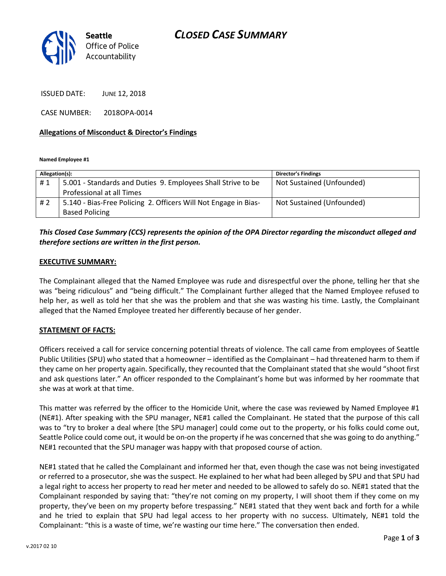

ISSUED DATE: JUNE 12, 2018

CASE NUMBER: 2018OPA-0014

### **Allegations of Misconduct & Director's Findings**

**Named Employee #1**

| Allegation(s): |                                                                 | <b>Director's Findings</b> |
|----------------|-----------------------------------------------------------------|----------------------------|
| #1             | 5.001 - Standards and Duties 9. Employees Shall Strive to be    | Not Sustained (Unfounded)  |
|                | Professional at all Times                                       |                            |
| #2             | 5.140 - Bias-Free Policing 2. Officers Will Not Engage in Bias- | Not Sustained (Unfounded)  |
|                | <b>Based Policing</b>                                           |                            |

# *This Closed Case Summary (CCS) represents the opinion of the OPA Director regarding the misconduct alleged and therefore sections are written in the first person.*

### **EXECUTIVE SUMMARY:**

The Complainant alleged that the Named Employee was rude and disrespectful over the phone, telling her that she was "being ridiculous" and "being difficult." The Complainant further alleged that the Named Employee refused to help her, as well as told her that she was the problem and that she was wasting his time. Lastly, the Complainant alleged that the Named Employee treated her differently because of her gender.

### **STATEMENT OF FACTS:**

Officers received a call for service concerning potential threats of violence. The call came from employees of Seattle Public Utilities (SPU) who stated that a homeowner – identified as the Complainant – had threatened harm to them if they came on her property again. Specifically, they recounted that the Complainant stated that she would "shoot first and ask questions later." An officer responded to the Complainant's home but was informed by her roommate that she was at work at that time.

This matter was referred by the officer to the Homicide Unit, where the case was reviewed by Named Employee #1 (NE#1). After speaking with the SPU manager, NE#1 called the Complainant. He stated that the purpose of this call was to "try to broker a deal where [the SPU manager] could come out to the property, or his folks could come out, Seattle Police could come out, it would be on-on the property if he was concerned that she was going to do anything." NE#1 recounted that the SPU manager was happy with that proposed course of action.

NE#1 stated that he called the Complainant and informed her that, even though the case was not being investigated or referred to a prosecutor, she was the suspect. He explained to her what had been alleged by SPU and that SPU had a legal right to access her property to read her meter and needed to be allowed to safely do so. NE#1 stated that the Complainant responded by saying that: "they're not coming on my property, I will shoot them if they come on my property, they've been on my property before trespassing." NE#1 stated that they went back and forth for a while and he tried to explain that SPU had legal access to her property with no success. Ultimately, NE#1 told the Complainant: "this is a waste of time, we're wasting our time here." The conversation then ended.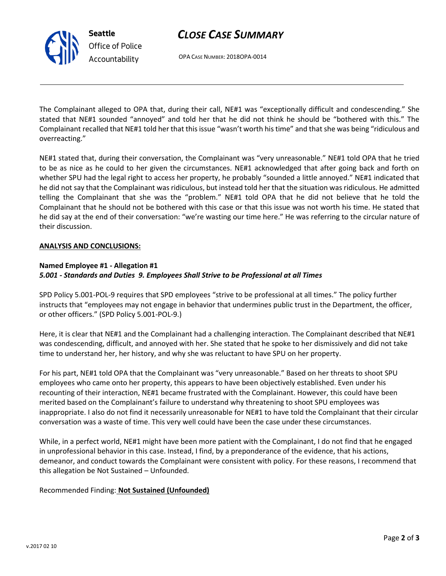# *CLOSE CASE SUMMARY*

OPA CASE NUMBER: 2018OPA-0014

The Complainant alleged to OPA that, during their call, NE#1 was "exceptionally difficult and condescending." She stated that NE#1 sounded "annoyed" and told her that he did not think he should be "bothered with this." The Complainant recalled that NE#1 told her that this issue "wasn't worth his time" and that she was being "ridiculous and overreacting."

NE#1 stated that, during their conversation, the Complainant was "very unreasonable." NE#1 told OPA that he tried to be as nice as he could to her given the circumstances. NE#1 acknowledged that after going back and forth on whether SPU had the legal right to access her property, he probably "sounded a little annoyed." NE#1 indicated that he did not say that the Complainant was ridiculous, but instead told her that the situation was ridiculous. He admitted telling the Complainant that she was the "problem." NE#1 told OPA that he did not believe that he told the Complainant that he should not be bothered with this case or that this issue was not worth his time. He stated that he did say at the end of their conversation: "we're wasting our time here." He was referring to the circular nature of their discussion.

## **ANALYSIS AND CONCLUSIONS:**

## **Named Employee #1 - Allegation #1** *5.001 - Standards and Duties 9. Employees Shall Strive to be Professional at all Times*

SPD Policy 5.001-POL-9 requires that SPD employees "strive to be professional at all times." The policy further instructs that "employees may not engage in behavior that undermines public trust in the Department, the officer, or other officers." (SPD Policy 5.001-POL-9.)

Here, it is clear that NE#1 and the Complainant had a challenging interaction. The Complainant described that NE#1 was condescending, difficult, and annoyed with her. She stated that he spoke to her dismissively and did not take time to understand her, her history, and why she was reluctant to have SPU on her property.

For his part, NE#1 told OPA that the Complainant was "very unreasonable." Based on her threats to shoot SPU employees who came onto her property, this appears to have been objectively established. Even under his recounting of their interaction, NE#1 became frustrated with the Complainant. However, this could have been merited based on the Complainant's failure to understand why threatening to shoot SPU employees was inappropriate. I also do not find it necessarily unreasonable for NE#1 to have told the Complainant that their circular conversation was a waste of time. This very well could have been the case under these circumstances.

While, in a perfect world, NE#1 might have been more patient with the Complainant, I do not find that he engaged in unprofessional behavior in this case. Instead, I find, by a preponderance of the evidence, that his actions, demeanor, and conduct towards the Complainant were consistent with policy. For these reasons, I recommend that this allegation be Not Sustained – Unfounded.

## Recommended Finding: **Not Sustained (Unfounded)**



**Seattle**

*Office of Police Accountability*